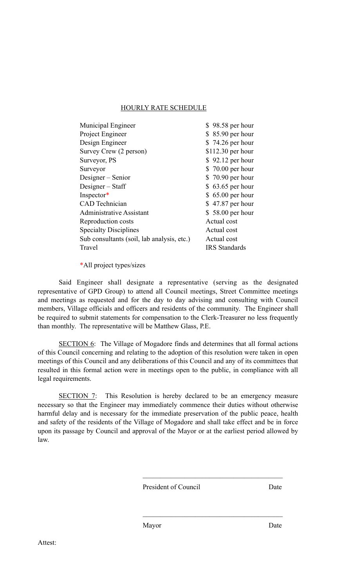## HOURLY RATE SCHEDULE

| Municipal Engineer                         | \$98.58 per hour     |
|--------------------------------------------|----------------------|
| Project Engineer                           | $$85.90$ per hour    |
| Design Engineer                            | \$74.26 per hour     |
| Survey Crew (2 person)                     | $$112.30$ per hour   |
| Surveyor, PS                               | $$92.12$ per hour    |
| Surveyor                                   | \$ 70.00 per hour    |
| Designer – Senior                          | \$70.90 per hour     |
| Designer – Staff                           | $$63.65$ per hour    |
| Inspector*                                 | $$65.00$ per hour    |
| <b>CAD</b> Technician                      | \$47.87 per hour     |
| <b>Administrative Assistant</b>            | \$58.00 per hour     |
| Reproduction costs                         | Actual cost          |
| <b>Specialty Disciplines</b>               | Actual cost          |
| Sub consultants (soil, lab analysis, etc.) | Actual cost          |
| Travel                                     | <b>IRS</b> Standards |
|                                            |                      |

\*All project types/sizes

Said Engineer shall designate a representative (serving as the designated representative of GPD Group) to attend all Council meetings, Street Committee meetings and meetings as requested and for the day to day advising and consulting with Council members, Village officials and officers and residents of the community. The Engineer shall be required to submit statements for compensation to the Clerk-Treasurer no less frequently than monthly. The representative will be Matthew Glass, P.E.

SECTION 6: The Village of Mogadore finds and determines that all formal actions of this Council concerning and relating to the adoption of this resolution were taken in open meetings of this Council and any deliberations of this Council and any of its committees that resulted in this formal action were in meetings open to the public, in compliance with all legal requirements.

SECTION 7: This Resolution is hereby declared to be an emergency measure necessary so that the Engineer may immediately commence their duties without otherwise harmful delay and is necessary for the immediate preservation of the public peace, health and safety of the residents of the Village of Mogadore and shall take effect and be in force upon its passage by Council and approval of the Mayor or at the earliest period allowed by law.

President of Council Date

 $\mathcal{L}_\text{max}$  and  $\mathcal{L}_\text{max}$  and  $\mathcal{L}_\text{max}$  and  $\mathcal{L}_\text{max}$ 

 $\mathcal{L}_\text{max}$  and  $\mathcal{L}_\text{max}$  and  $\mathcal{L}_\text{max}$  and  $\mathcal{L}_\text{max}$